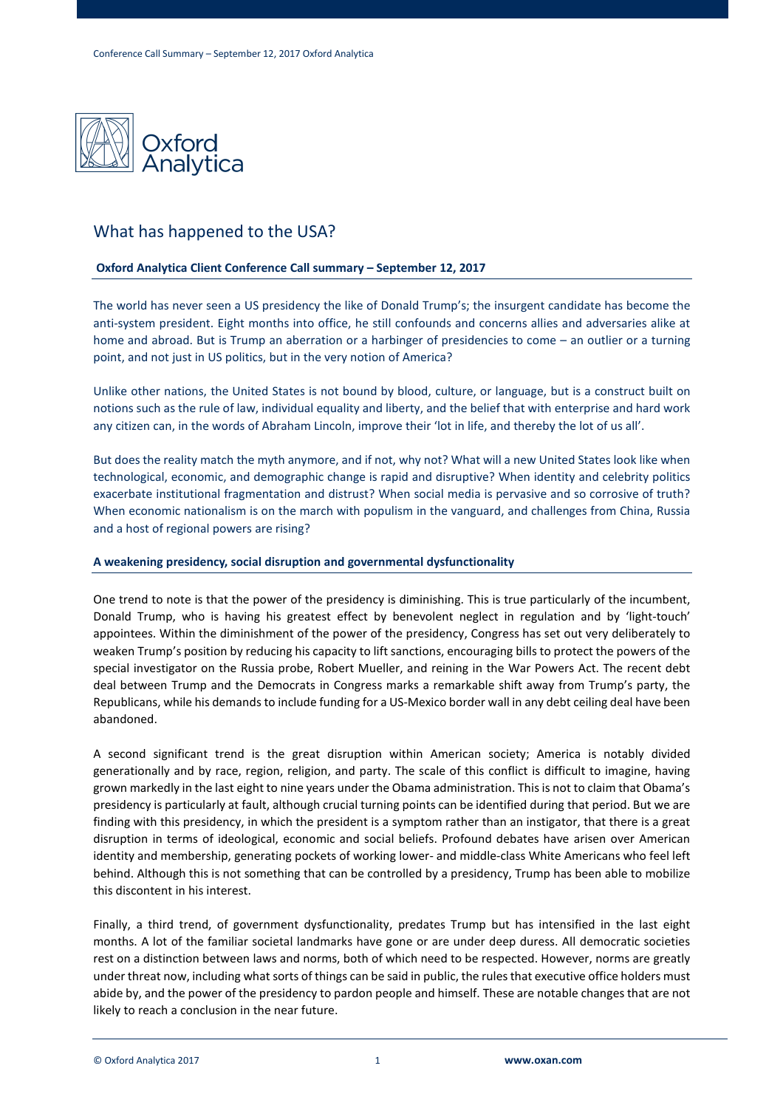

# What has happened to the USA?

## **Oxford Analytica Client Conference Call summary – September 12, 2017**

The world has never seen a US presidency the like of Donald Trump's; the insurgent candidate has become the anti-system president. Eight months into office, he still confounds and concerns allies and adversaries alike at home and abroad. But is Trump an aberration or a harbinger of presidencies to come – an outlier or a turning point, and not just in US politics, but in the very notion of America?

Unlike other nations, the United States is not bound by blood, culture, or language, but is a construct built on notions such as the rule of law, individual equality and liberty, and the belief that with enterprise and hard work any citizen can, in the words of Abraham Lincoln, improve their 'lot in life, and thereby the lot of us all'.

But does the reality match the myth anymore, and if not, why not? What will a new United States look like when technological, economic, and demographic change is rapid and disruptive? When identity and celebrity politics exacerbate institutional fragmentation and distrust? When social media is pervasive and so corrosive of truth? When economic nationalism is on the march with populism in the vanguard, and challenges from China, Russia and a host of regional powers are rising?

#### **A weakening presidency, social disruption and governmental dysfunctionality**

One trend to note is that the power of the presidency is diminishing. This is true particularly of the incumbent, Donald Trump, who is having his greatest effect by benevolent neglect in regulation and by 'light-touch' appointees. Within the diminishment of the power of the presidency, Congress has set out very deliberately to weaken Trump's position by reducing his capacity to lift sanctions, encouraging bills to protect the powers of the special investigator on the Russia probe, Robert Mueller, and reining in the War Powers Act. The recent debt deal between Trump and the Democrats in Congress marks a remarkable shift away from Trump's party, the Republicans, while his demandsto include funding for a US-Mexico border wall in any debt ceiling deal have been abandoned.

A second significant trend is the great disruption within American society; America is notably divided generationally and by race, region, religion, and party. The scale of this conflict is difficult to imagine, having grown markedly in the last eight to nine years under the Obama administration. This is not to claim that Obama's presidency is particularly at fault, although crucial turning points can be identified during that period. But we are finding with this presidency, in which the president is a symptom rather than an instigator, that there is a great disruption in terms of ideological, economic and social beliefs. Profound debates have arisen over American identity and membership, generating pockets of working lower- and middle-class White Americans who feel left behind. Although this is not something that can be controlled by a presidency, Trump has been able to mobilize this discontent in his interest.

Finally, a third trend, of government dysfunctionality, predates Trump but has intensified in the last eight months. A lot of the familiar societal landmarks have gone or are under deep duress. All democratic societies rest on a distinction between laws and norms, both of which need to be respected. However, norms are greatly under threat now, including what sorts of things can be said in public, the rulesthat executive office holders must abide by, and the power of the presidency to pardon people and himself. These are notable changes that are not likely to reach a conclusion in the near future.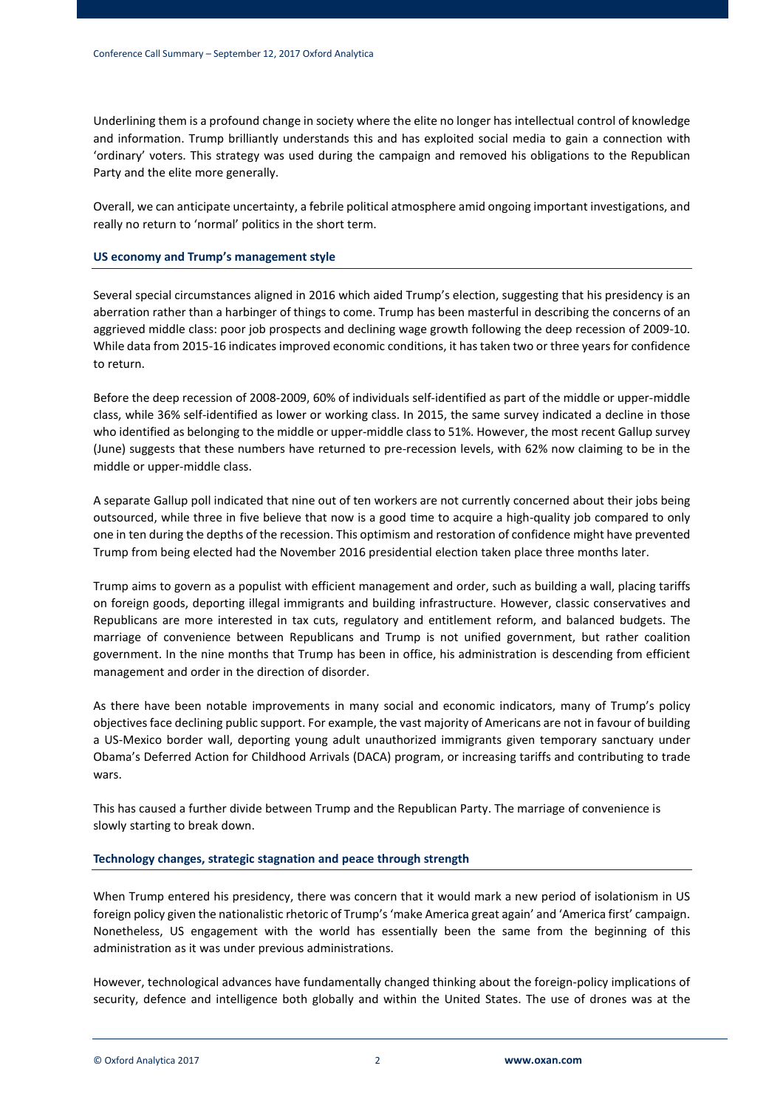Underlining them is a profound change in society where the elite no longer has intellectual control of knowledge and information. Trump brilliantly understands this and has exploited social media to gain a connection with 'ordinary' voters. This strategy was used during the campaign and removed his obligations to the Republican Party and the elite more generally.

Overall, we can anticipate uncertainty, a febrile political atmosphere amid ongoing important investigations, and really no return to 'normal' politics in the short term.

## **US economy and Trump's management style**

Several special circumstances aligned in 2016 which aided Trump's election, suggesting that his presidency is an aberration rather than a harbinger of things to come. Trump has been masterful in describing the concerns of an aggrieved middle class: poor job prospects and declining wage growth following the deep recession of 2009-10. While data from 2015-16 indicates improved economic conditions, it has taken two or three years for confidence to return.

Before the deep recession of 2008-2009, 60% of individuals self-identified as part of the middle or upper-middle class, while 36% self-identified as lower or working class. In 2015, the same survey indicated a decline in those who identified as belonging to the middle or upper-middle class to 51%. However, the most recent Gallup survey (June) suggests that these numbers have returned to pre-recession levels, with 62% now claiming to be in the middle or upper-middle class.

A separate Gallup poll indicated that nine out of ten workers are not currently concerned about their jobs being outsourced, while three in five believe that now is a good time to acquire a high-quality job compared to only one in ten during the depths of the recession. This optimism and restoration of confidence might have prevented Trump from being elected had the November 2016 presidential election taken place three months later.

Trump aims to govern as a populist with efficient management and order, such as building a wall, placing tariffs on foreign goods, deporting illegal immigrants and building infrastructure. However, classic conservatives and Republicans are more interested in tax cuts, regulatory and entitlement reform, and balanced budgets. The marriage of convenience between Republicans and Trump is not unified government, but rather coalition government. In the nine months that Trump has been in office, his administration is descending from efficient management and order in the direction of disorder.

As there have been notable improvements in many social and economic indicators, many of Trump's policy objectivesface declining public support. For example, the vast majority of Americans are not in favour of building a US-Mexico border wall, deporting young adult unauthorized immigrants given temporary sanctuary under Obama's Deferred Action for Childhood Arrivals (DACA) program, or increasing tariffs and contributing to trade wars.

This has caused a further divide between Trump and the Republican Party. The marriage of convenience is slowly starting to break down.

## **Technology changes, strategic stagnation and peace through strength**

When Trump entered his presidency, there was concern that it would mark a new period of isolationism in US foreign policy given the nationalistic rhetoric of Trump's 'make America great again' and 'America first' campaign. Nonetheless, US engagement with the world has essentially been the same from the beginning of this administration as it was under previous administrations.

However, technological advances have fundamentally changed thinking about the foreign-policy implications of security, defence and intelligence both globally and within the United States. The use of drones was at the

© Oxford Analytica 2017 2 **www.oxan.com**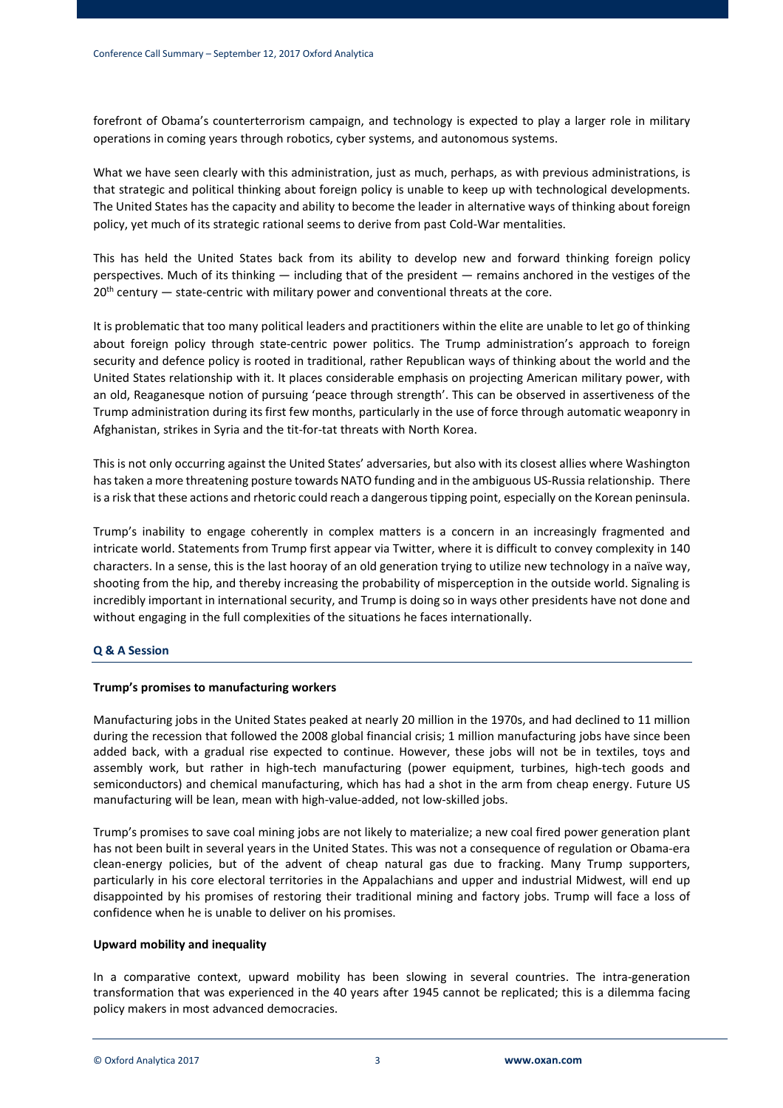forefront of Obama's counterterrorism campaign, and technology is expected to play a larger role in military operations in coming years through robotics, cyber systems, and autonomous systems.

What we have seen clearly with this administration, just as much, perhaps, as with previous administrations, is that strategic and political thinking about foreign policy is unable to keep up with technological developments. The United States has the capacity and ability to become the leader in alternative ways of thinking about foreign policy, yet much of its strategic rational seems to derive from past Cold-War mentalities.

This has held the United States back from its ability to develop new and forward thinking foreign policy perspectives. Much of its thinking — including that of the president — remains anchored in the vestiges of the  $20<sup>th</sup>$  century  $-$  state-centric with military power and conventional threats at the core.

It is problematic that too many political leaders and practitioners within the elite are unable to let go of thinking about foreign policy through state-centric power politics. The Trump administration's approach to foreign security and defence policy is rooted in traditional, rather Republican ways of thinking about the world and the United States relationship with it. It places considerable emphasis on projecting American military power, with an old, Reaganesque notion of pursuing 'peace through strength'. This can be observed in assertiveness of the Trump administration during its first few months, particularly in the use of force through automatic weaponry in Afghanistan, strikes in Syria and the tit-for-tat threats with North Korea.

This is not only occurring against the United States' adversaries, but also with its closest allies where Washington hastaken a more threatening posture towards NATO funding and in the ambiguous US-Russia relationship. There is a risk that these actions and rhetoric could reach a dangeroustipping point, especially on the Korean peninsula.

Trump's inability to engage coherently in complex matters is a concern in an increasingly fragmented and intricate world. Statements from Trump first appear via Twitter, where it is difficult to convey complexity in 140 characters. In a sense, this is the last hooray of an old generation trying to utilize new technology in a naïve way, shooting from the hip, and thereby increasing the probability of misperception in the outside world. Signaling is incredibly important in international security, and Trump is doing so in ways other presidents have not done and without engaging in the full complexities of the situations he faces internationally.

## **Q & A Session**

## **Trump's promises to manufacturing workers**

Manufacturing jobs in the United States peaked at nearly 20 million in the 1970s, and had declined to 11 million during the recession that followed the 2008 global financial crisis; 1 million manufacturing jobs have since been added back, with a gradual rise expected to continue. However, these jobs will not be in textiles, toys and assembly work, but rather in high-tech manufacturing (power equipment, turbines, high-tech goods and semiconductors) and chemical manufacturing, which has had a shot in the arm from cheap energy. Future US manufacturing will be lean, mean with high-value-added, not low-skilled jobs.

Trump's promises to save coal mining jobs are not likely to materialize; a new coal fired power generation plant has not been built in several years in the United States. This was not a consequence of regulation or Obama-era clean-energy policies, but of the advent of cheap natural gas due to fracking. Many Trump supporters, particularly in his core electoral territories in the Appalachians and upper and industrial Midwest, will end up disappointed by his promises of restoring their traditional mining and factory jobs. Trump will face a loss of confidence when he is unable to deliver on his promises.

## **Upward mobility and inequality**

In a comparative context, upward mobility has been slowing in several countries. The intra-generation transformation that was experienced in the 40 years after 1945 cannot be replicated; this is a dilemma facing policy makers in most advanced democracies.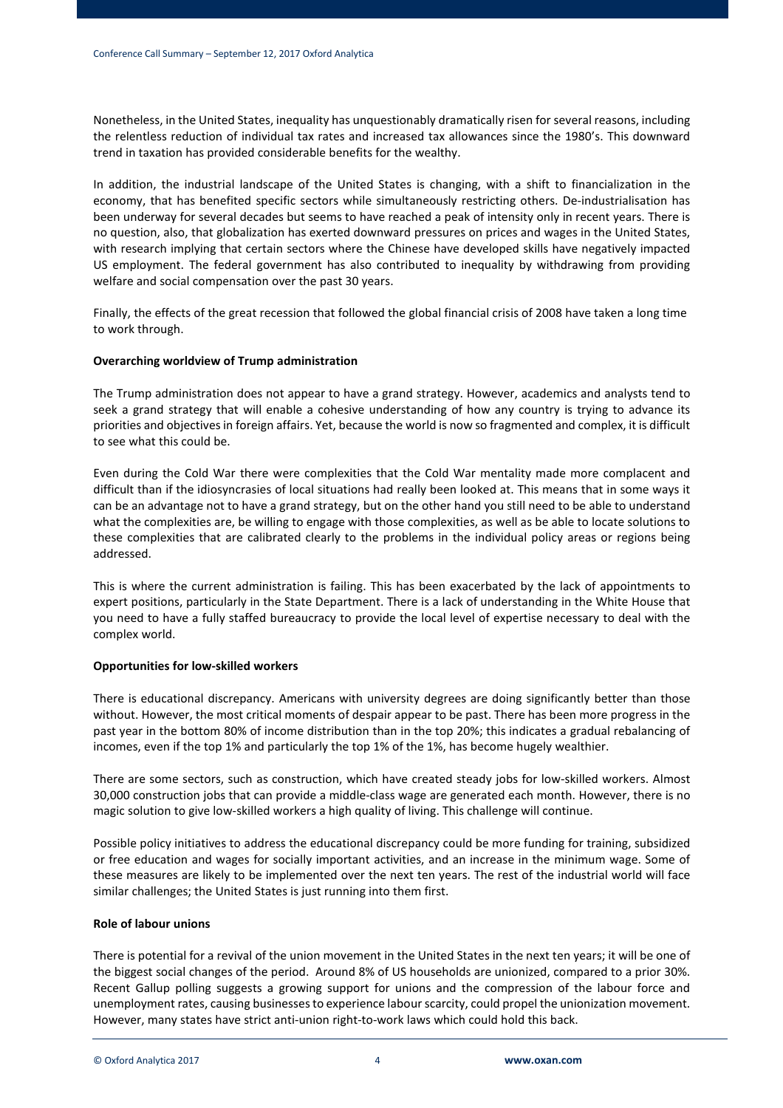Nonetheless, in the United States, inequality has unquestionably dramatically risen for several reasons, including the relentless reduction of individual tax rates and increased tax allowances since the 1980's. This downward trend in taxation has provided considerable benefits for the wealthy.

In addition, the industrial landscape of the United States is changing, with a shift to financialization in the economy, that has benefited specific sectors while simultaneously restricting others. De-industrialisation has been underway for several decades but seems to have reached a peak of intensity only in recent years. There is no question, also, that globalization has exerted downward pressures on prices and wages in the United States, with research implying that certain sectors where the Chinese have developed skills have negatively impacted US employment. The federal government has also contributed to inequality by withdrawing from providing welfare and social compensation over the past 30 years.

Finally, the effects of the great recession that followed the global financial crisis of 2008 have taken a long time to work through.

### **Overarching worldview of Trump administration**

The Trump administration does not appear to have a grand strategy. However, academics and analysts tend to seek a grand strategy that will enable a cohesive understanding of how any country is trying to advance its priorities and objectivesin foreign affairs. Yet, because the world is now so fragmented and complex, it is difficult to see what this could be.

Even during the Cold War there were complexities that the Cold War mentality made more complacent and difficult than if the idiosyncrasies of local situations had really been looked at. This means that in some ways it can be an advantage not to have a grand strategy, but on the other hand you still need to be able to understand what the complexities are, be willing to engage with those complexities, as well as be able to locate solutions to these complexities that are calibrated clearly to the problems in the individual policy areas or regions being addressed.

This is where the current administration is failing. This has been exacerbated by the lack of appointments to expert positions, particularly in the State Department. There is a lack of understanding in the White House that you need to have a fully staffed bureaucracy to provide the local level of expertise necessary to deal with the complex world.

## **Opportunities for low-skilled workers**

There is educational discrepancy. Americans with university degrees are doing significantly better than those without. However, the most critical moments of despair appear to be past. There has been more progress in the past year in the bottom 80% of income distribution than in the top 20%; this indicates a gradual rebalancing of incomes, even if the top 1% and particularly the top 1% of the 1%, has become hugely wealthier.

There are some sectors, such as construction, which have created steady jobs for low-skilled workers. Almost 30,000 construction jobs that can provide a middle-class wage are generated each month. However, there is no magic solution to give low-skilled workers a high quality of living. This challenge will continue.

Possible policy initiatives to address the educational discrepancy could be more funding for training, subsidized or free education and wages for socially important activities, and an increase in the minimum wage. Some of these measures are likely to be implemented over the next ten years. The rest of the industrial world will face similar challenges; the United States is just running into them first.

## **Role of labour unions**

There is potential for a revival of the union movement in the United States in the next ten years; it will be one of the biggest social changes of the period. Around 8% of US households are unionized, compared to a prior 30%. Recent Gallup polling suggests a growing support for unions and the compression of the labour force and unemployment rates, causing businessesto experience labourscarcity, could propel the unionization movement. However, many states have strict anti-union right-to-work laws which could hold this back.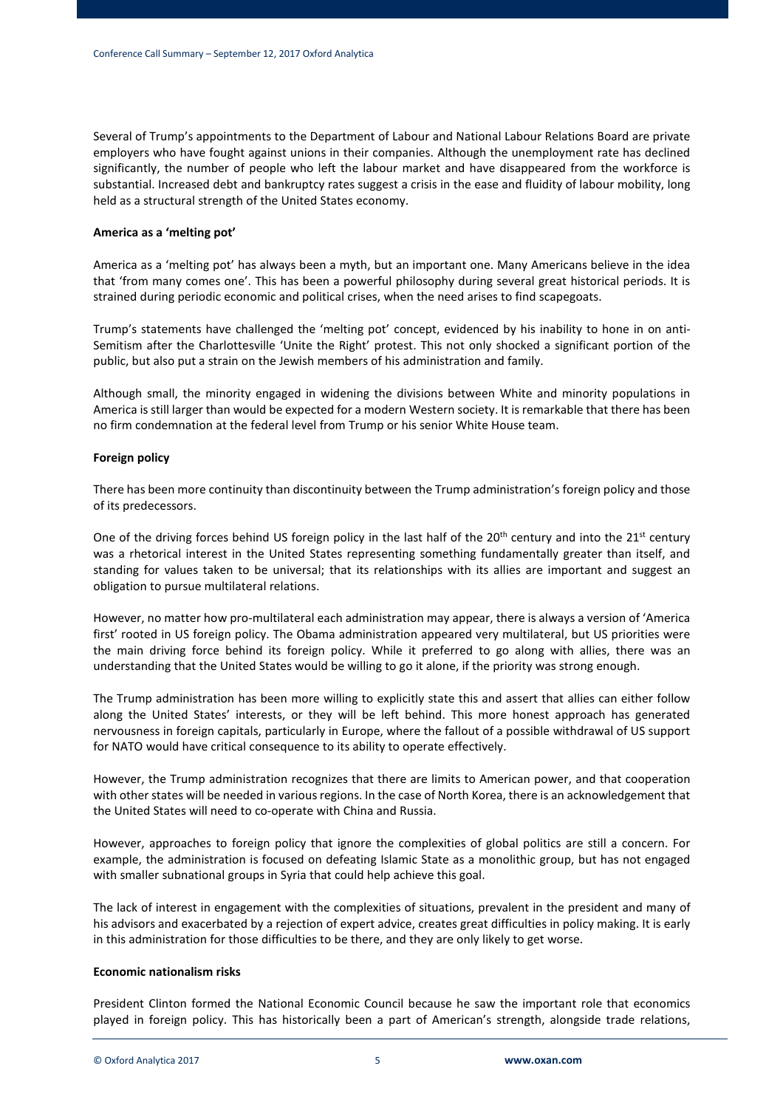Several of Trump's appointments to the Department of Labour and National Labour Relations Board are private employers who have fought against unions in their companies. Although the unemployment rate has declined significantly, the number of people who left the labour market and have disappeared from the workforce is substantial. Increased debt and bankruptcy rates suggest a crisis in the ease and fluidity of labour mobility, long held as a structural strength of the United States economy.

#### **America as a 'melting pot'**

America as a 'melting pot' has always been a myth, but an important one. Many Americans believe in the idea that 'from many comes one'. This has been a powerful philosophy during several great historical periods. It is strained during periodic economic and political crises, when the need arises to find scapegoats.

Trump's statements have challenged the 'melting pot' concept, evidenced by his inability to hone in on anti-Semitism after the Charlottesville 'Unite the Right' protest. This not only shocked a significant portion of the public, but also put a strain on the Jewish members of his administration and family.

Although small, the minority engaged in widening the divisions between White and minority populations in America is still larger than would be expected for a modern Western society. It is remarkable that there has been no firm condemnation at the federal level from Trump or his senior White House team.

#### **Foreign policy**

There has been more continuity than discontinuity between the Trump administration's foreign policy and those of its predecessors.

One of the driving forces behind US foreign policy in the last half of the 20<sup>th</sup> century and into the 21<sup>st</sup> century was a rhetorical interest in the United States representing something fundamentally greater than itself, and standing for values taken to be universal; that its relationships with its allies are important and suggest an obligation to pursue multilateral relations.

However, no matter how pro-multilateral each administration may appear, there is always a version of 'America first' rooted in US foreign policy. The Obama administration appeared very multilateral, but US priorities were the main driving force behind its foreign policy. While it preferred to go along with allies, there was an understanding that the United States would be willing to go it alone, if the priority was strong enough.

The Trump administration has been more willing to explicitly state this and assert that allies can either follow along the United States' interests, or they will be left behind. This more honest approach has generated nervousness in foreign capitals, particularly in Europe, where the fallout of a possible withdrawal of US support for NATO would have critical consequence to its ability to operate effectively.

However, the Trump administration recognizes that there are limits to American power, and that cooperation with other states will be needed in various regions. In the case of North Korea, there is an acknowledgement that the United States will need to co-operate with China and Russia.

However, approaches to foreign policy that ignore the complexities of global politics are still a concern. For example, the administration is focused on defeating Islamic State as a monolithic group, but has not engaged with smaller subnational groups in Syria that could help achieve this goal.

The lack of interest in engagement with the complexities of situations, prevalent in the president and many of his advisors and exacerbated by a rejection of expert advice, creates great difficulties in policy making. It is early in this administration for those difficulties to be there, and they are only likely to get worse.

#### **Economic nationalism risks**

President Clinton formed the National Economic Council because he saw the important role that economics played in foreign policy. This has historically been a part of American's strength, alongside trade relations,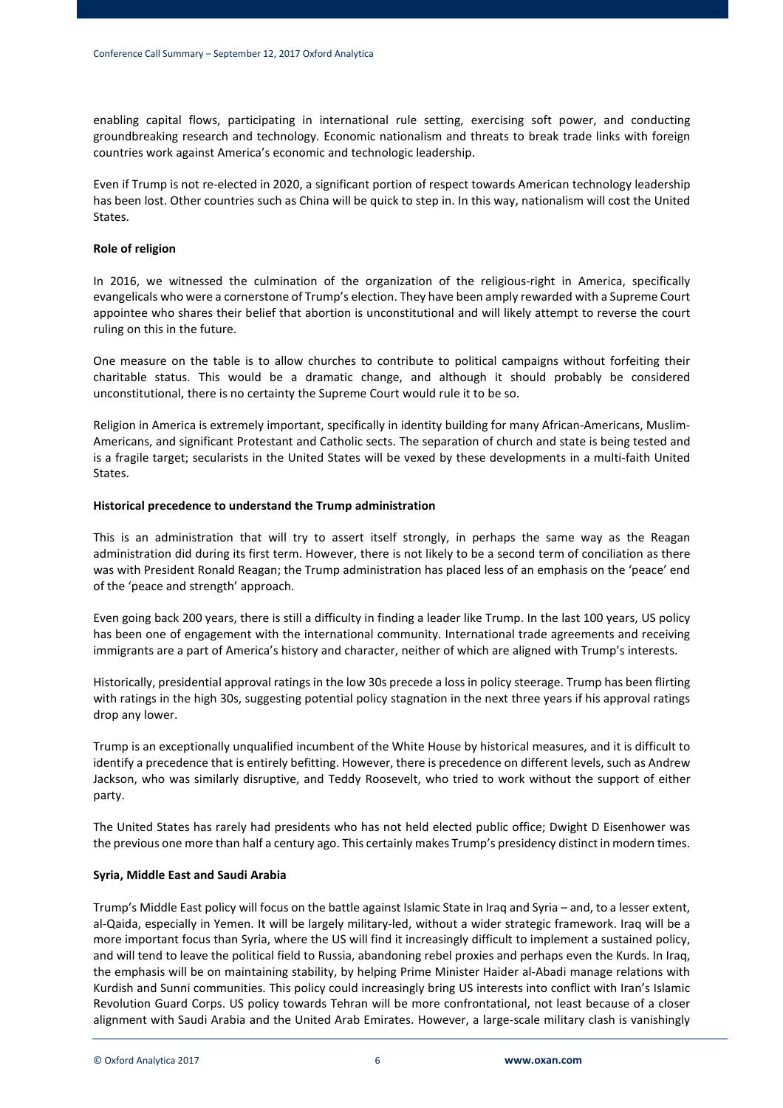enabling capital flows, participating in international rule setting, exercising soft power, and conducting groundbreaking research and technology. Economic nationalism and threats to break trade links with foreign countries work against America's economic and technologic leadership.

Even if Trump is not re-elected in 2020, a significant portion of respect towards American technology leadership has been lost. Other countries such as China will be quick to step in. In this way, nationalism will cost the United States.

#### **Role of religion**

In 2016, we witnessed the culmination of the organization of the religious-right in America, specifically evangelicals who were a cornerstone of Trump's election. They have been amply rewarded with a Supreme Court appointee who shares their belief that abortion is unconstitutional and will likely attempt to reverse the court ruling on this in the future.

One measure on the table is to allow churches to contribute to political campaigns without forfeiting their charitable status. This would be a dramatic change, and although it should probably be considered unconstitutional, there is no certainty the Supreme Court would rule it to be so.

Religion in America is extremely important, specifically in identity building for many African-Americans, Muslim-Americans, and significant Protestant and Catholic sects. The separation of church and state is being tested and is a fragile target; secularists in the United States will be vexed by these developments in a multi-faith United States.

### **Historical precedence to understand the Trump administration**

This is an administration that will try to assert itself strongly, in perhaps the same way as the Reagan administration did during its first term. However, there is not likely to be a second term of conciliation as there was with President Ronald Reagan; the Trump administration has placed less of an emphasis on the 'peace' end of the 'peace and strength' approach.

Even going back 200 years, there is still a difficulty in finding a leader like Trump. In the last 100 years, US policy has been one of engagement with the international community. International trade agreements and receiving immigrants are a part of America's history and character, neither of which are aligned with Trump's interests.

Historically, presidential approval ratings in the low 30s precede a loss in policy steerage. Trump has been flirting with ratings in the high 30s, suggesting potential policy stagnation in the next three years if his approval ratings drop any lower.

Trump is an exceptionally unqualified incumbent of the White House by historical measures, and it is difficult to identify a precedence that is entirely befitting. However, there is precedence on different levels, such as Andrew Jackson, who was similarly disruptive, and Teddy Roosevelt, who tried to work without the support of either party.

The United States has rarely had presidents who has not held elected public office; Dwight D Eisenhower was the previous one more than half a century ago. This certainly makes Trump's presidency distinct in modern times.

#### **Syria, Middle East and Saudi Arabia**

Trump's Middle East policy will focus on the battle against Islamic State in Iraq and Syria – and, to a lesser extent, al-Qaida, especially in Yemen. It will be largely military-led, without a wider strategic framework. Iraq will be a more important focus than Syria, where the US will find it increasingly difficult to implement a sustained policy, and will tend to leave the political field to Russia, abandoning rebel proxies and perhaps even the Kurds. In Iraq, the emphasis will be on maintaining stability, by helping Prime Minister Haider al-Abadi manage relations with Kurdish and Sunni communities. This policy could increasingly bring US interests into conflict with Iran's Islamic Revolution Guard Corps. US policy towards Tehran will be more confrontational, not least because of a closer alignment with Saudi Arabia and the United Arab Emirates. However, a large-scale military clash is vanishingly